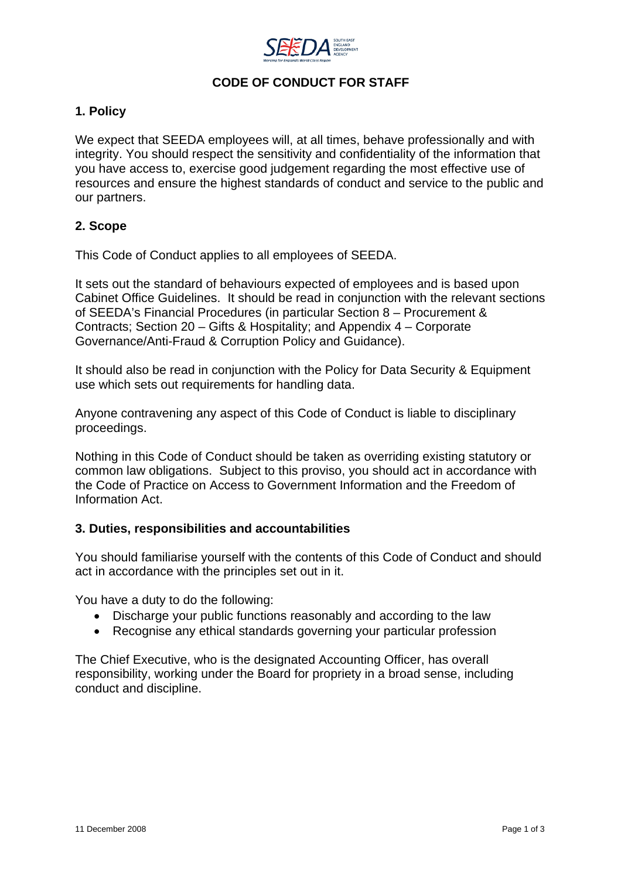

# **CODE OF CONDUCT FOR STAFF**

## **1. Policy**

We expect that SEEDA employees will, at all times, behave professionally and with integrity. You should respect the sensitivity and confidentiality of the information that you have access to, exercise good judgement regarding the most effective use of resources and ensure the highest standards of conduct and service to the public and our partners.

## **2. Scope**

This Code of Conduct applies to all employees of SEEDA.

It sets out the standard of behaviours expected of employees and is based upon Cabinet Office Guidelines. It should be read in conjunction with the relevant sections of SEEDA's Financial Procedures (in particular Section 8 – Procurement & Contracts; Section 20 – Gifts & Hospitality; and Appendix 4 – Corporate Governance/Anti-Fraud & Corruption Policy and Guidance).

It should also be read in conjunction with the Policy for Data Security & Equipment use which sets out requirements for handling data.

Anyone contravening any aspect of this Code of Conduct is liable to disciplinary proceedings.

Nothing in this Code of Conduct should be taken as overriding existing statutory or common law obligations. Subject to this proviso, you should act in accordance with the Code of Practice on Access to Government Information and the Freedom of Information Act.

## **3. Duties, responsibilities and accountabilities**

You should familiarise yourself with the contents of this Code of Conduct and should act in accordance with the principles set out in it.

You have a duty to do the following:

- Discharge your public functions reasonably and according to the law
- Recognise any ethical standards governing your particular profession

The Chief Executive, who is the designated Accounting Officer, has overall responsibility, working under the Board for propriety in a broad sense, including conduct and discipline.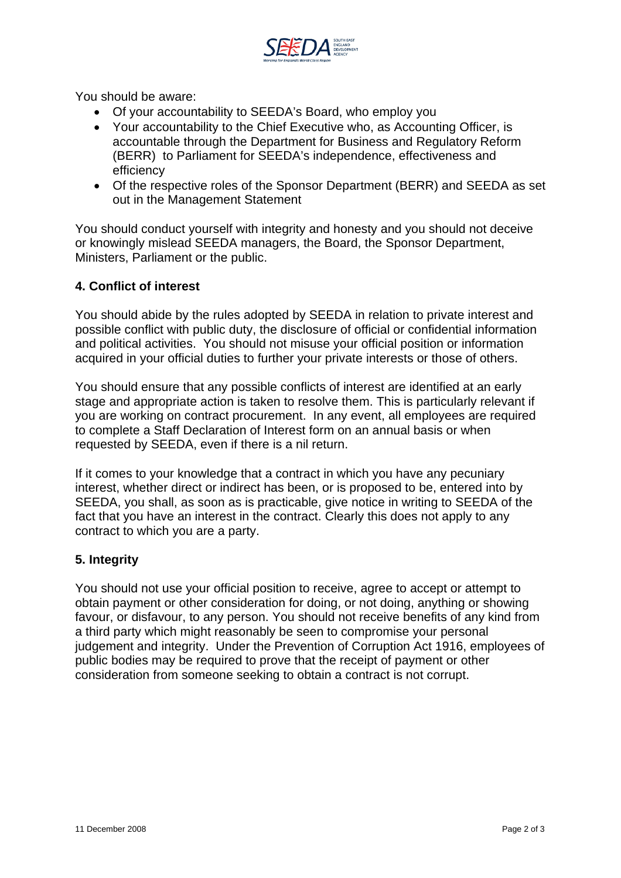

You should be aware:

- Of your accountability to SEEDA's Board, who employ you
- Your accountability to the Chief Executive who, as Accounting Officer, is accountable through the Department for Business and Regulatory Reform (BERR) to Parliament for SEEDA's independence, effectiveness and efficiency
- Of the respective roles of the Sponsor Department (BERR) and SEEDA as set out in the Management Statement

You should conduct yourself with integrity and honesty and you should not deceive or knowingly mislead SEEDA managers, the Board, the Sponsor Department, Ministers, Parliament or the public.

### **4. Conflict of interest**

You should abide by the rules adopted by SEEDA in relation to private interest and possible conflict with public duty, the disclosure of official or confidential information and political activities. You should not misuse your official position or information acquired in your official duties to further your private interests or those of others.

You should ensure that any possible conflicts of interest are identified at an early stage and appropriate action is taken to resolve them. This is particularly relevant if you are working on contract procurement. In any event, all employees are required to complete a Staff Declaration of Interest form on an annual basis or when requested by SEEDA, even if there is a nil return.

If it comes to your knowledge that a contract in which you have any pecuniary interest, whether direct or indirect has been, or is proposed to be, entered into by SEEDA, you shall, as soon as is practicable, give notice in writing to SEEDA of the fact that you have an interest in the contract. Clearly this does not apply to any contract to which you are a party.

### **5. Integrity**

You should not use your official position to receive, agree to accept or attempt to obtain payment or other consideration for doing, or not doing, anything or showing favour, or disfavour, to any person. You should not receive benefits of any kind from a third party which might reasonably be seen to compromise your personal judgement and integrity. Under the Prevention of Corruption Act 1916, employees of public bodies may be required to prove that the receipt of payment or other consideration from someone seeking to obtain a contract is not corrupt.